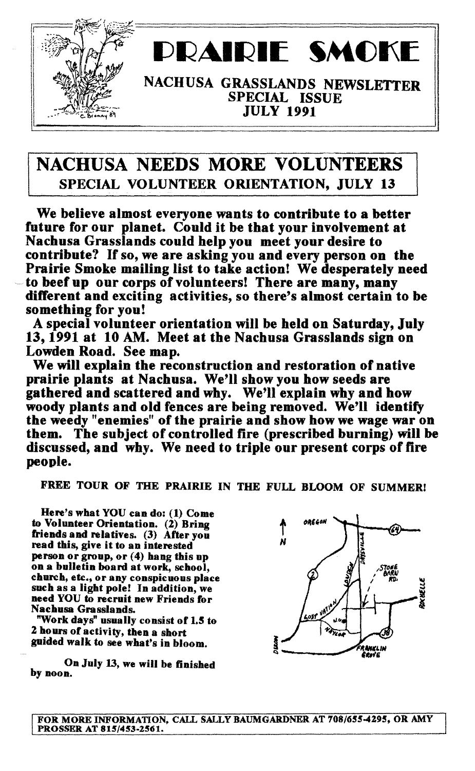

## RAIRIE SMOK

NACHUSA GRASSLANDS NEWSLETTER SPECIAL ISSUE JULY 1991

## NACHUSA NEEDS MORE VOLUNTEERS SPECIAL VOLUNTEER ORIENTATION, JULY 13

We believe almost everyone wants to contribute to a better future for our planet. Could it be that your involvement at Nachusa Grasslands could help you meet your desire to contribute? If so, we are asking you and every person on the Prairie Smoke mailing list to take action! We desperately need to beef up our corps of volunteers! There are many, many different and exciting activities, so there's almost certain to be something for you!

A special volunteer orientation will be held on Saturday, July 13, 1991 at 10 AM. Meet at the Nachusa Grasslands sign on Lowden Road. See map.

We will explain the reconstruction and restoration of native prairie plants at Nachusa. We'll show you how seeds are gathered and scattered and why. We'll explain why and how woody plants and old fences are being removed. We'll identify the weedy" enemies" of the prairie and show how we wage war on them. The subject of controlled tire (prescribed burning) will be discussed, and why. We need to triple our present corps of fire people.

FREE TOUR OF THE PRAIRIE IN THE FULL BLOOM OF SUMMER!

Here's what YOU can do: (1) Come to Volunteer Orientation. (2) Bring friends and relatives. (3) After you read this, give it to an interested person or group, or (4) hang this up on a bulletin board at work, school, church, ete., or any conspicuous place such as a light pole! In addition, we need YOU to recruit new Friends for Nachusa Grasslands.

"Work days" usually consist of 1.5 to 2 hours of activity, then a short guided walk to see what's in bloom.

On July 13, we will be finished by noon.